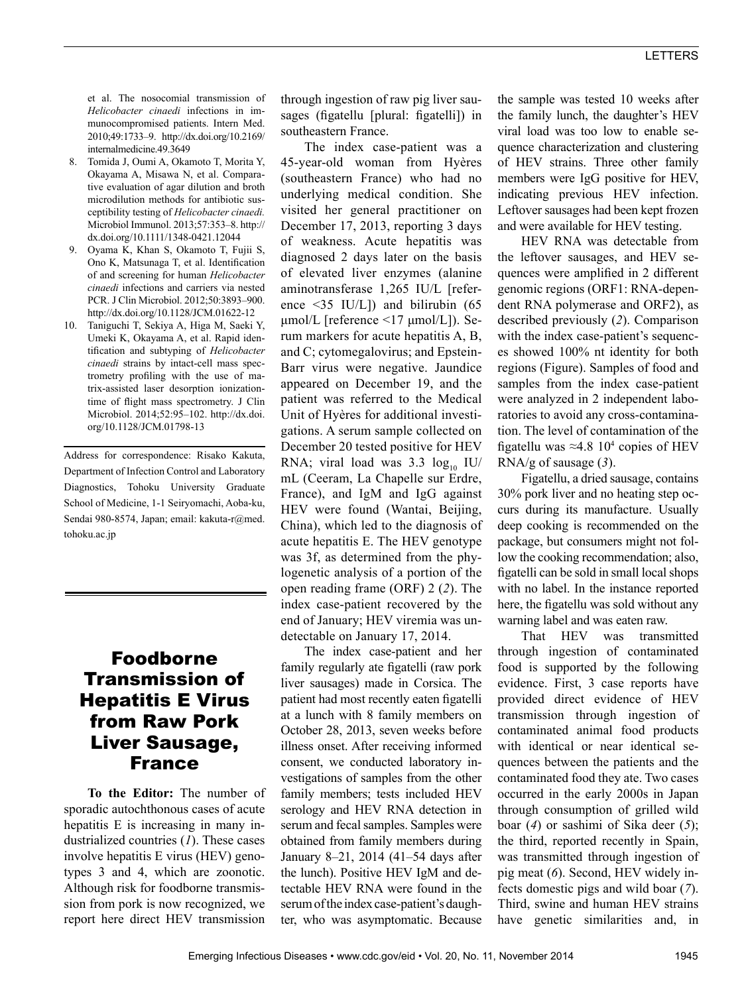et al. The nosocomial transmission of *Helicobacter cinaedi* infections in immunocompromised patients. Intern Med. 2010;49:1733–9. http://dx.doi.org/10.2169/ internalmedicine.49.3649

- 8. Tomida J, Oumi A, Okamoto T, Morita Y, Okayama A, Misawa N, et al. Comparative evaluation of agar dilution and broth microdilution methods for antibiotic susceptibility testing of *Helicobacter cinaedi.* Microbiol Immunol. 2013;57:353–8. http:// dx.doi.org/10.1111/1348-0421.12044
- 9. Oyama K, Khan S, Okamoto T, Fujii S, Ono K, Matsunaga T, et al. Identification of and screening for human *Helicobacter cinaedi* infections and carriers via nested PCR. J Clin Microbiol. 2012;50:3893–900. http://dx.doi.org/10.1128/JCM.01622-12
- 10. Taniguchi T, Sekiya A, Higa M, Saeki Y, Umeki K, Okayama A, et al. Rapid identification and subtyping of *Helicobacter cinaedi* strains by intact-cell mass spectrometry profiling with the use of matrix-assisted laser desorption ionizationtime of flight mass spectrometry. J Clin Microbiol. 2014;52:95–102. http://dx.doi. org/10.1128/JCM.01798-13

Address for correspondence: Risako Kakuta, Department of Infection Control and Laboratory Diagnostics, Tohoku University Graduate School of Medicine, 1-1 Seiryomachi, Aoba-ku, Sendai 980-8574, Japan; email: kakuta-r@med. tohoku.ac.jp

## Foodborne Transmission of Hepatitis E Virus from Raw Pork Liver Sausage, France

**To the Editor:** The number of sporadic autochthonous cases of acute hepatitis E is increasing in many industrialized countries (*1*). These cases involve hepatitis E virus (HEV) genotypes 3 and 4, which are zoonotic. Although risk for foodborne transmission from pork is now recognized, we report here direct HEV transmission

through ingestion of raw pig liver sausages (figatellu [plural: figatelli]) in southeastern France.

The index case-patient was a 45-year-old woman from Hyères (southeastern France) who had no underlying medical condition. She visited her general practitioner on December 17, 2013, reporting 3 days of weakness. Acute hepatitis was diagnosed 2 days later on the basis of elevated liver enzymes (alanine aminotransferase 1,265 IU/L [reference <35 IU/L]) and bilirubin (65 μmol/L [reference <17 μmol/L]). Serum markers for acute hepatitis A, B, and C; cytomegalovirus; and Epstein-Barr virus were negative. Jaundice appeared on December 19, and the patient was referred to the Medical Unit of Hyères for additional investigations. A serum sample collected on December 20 tested positive for HEV RNA; viral load was  $3.3 \log_{10} I U$ mL (Ceeram, La Chapelle sur Erdre, France), and IgM and IgG against HEV were found (Wantai, Beijing, China), which led to the diagnosis of acute hepatitis E. The HEV genotype was 3f, as determined from the phylogenetic analysis of a portion of the open reading frame (ORF) 2 (*2*). The index case-patient recovered by the end of January; HEV viremia was undetectable on January 17, 2014.

The index case-patient and her family regularly ate figatelli (raw pork liver sausages) made in Corsica. The patient had most recently eaten figatelli at a lunch with 8 family members on October 28, 2013, seven weeks before illness onset. After receiving informed consent, we conducted laboratory investigations of samples from the other family members; tests included HEV serology and HEV RNA detection in serum and fecal samples. Samples were obtained from family members during January 8–21, 2014 (41–54 days after the lunch). Positive HEV IgM and detectable HEV RNA were found in the serum of the index case-patient's daughter, who was asymptomatic. Because

the sample was tested 10 weeks after the family lunch, the daughter's HEV viral load was too low to enable sequence characterization and clustering of HEV strains. Three other family members were IgG positive for HEV, indicating previous HEV infection. Leftover sausages had been kept frozen and were available for HEV testing.

HEV RNA was detectable from the leftover sausages, and HEV sequences were amplified in 2 different genomic regions (ORF1: RNA-dependent RNA polymerase and ORF2), as described previously (*2*). Comparison with the index case-patient's sequences showed 100% nt identity for both regions (Figure). Samples of food and samples from the index case-patient were analyzed in 2 independent laboratories to avoid any cross-contamination. The level of contamination of the figatellu was  $\approx 4.8$  10<sup>4</sup> copies of HEV RNA/g of sausage (*3*).

Figatellu, a dried sausage, contains 30% pork liver and no heating step occurs during its manufacture. Usually deep cooking is recommended on the package, but consumers might not follow the cooking recommendation; also, figatelli can be sold in small local shops with no label. In the instance reported here, the figatellu was sold without any warning label and was eaten raw.

That HEV was transmitted through ingestion of contaminated food is supported by the following evidence. First, 3 case reports have provided direct evidence of HEV transmission through ingestion of contaminated animal food products with identical or near identical sequences between the patients and the contaminated food they ate. Two cases occurred in the early 2000s in Japan through consumption of grilled wild boar (*4*) or sashimi of Sika deer (*5*); the third, reported recently in Spain, was transmitted through ingestion of pig meat (*6*). Second, HEV widely infects domestic pigs and wild boar (*7*). Third, swine and human HEV strains have genetic similarities and, in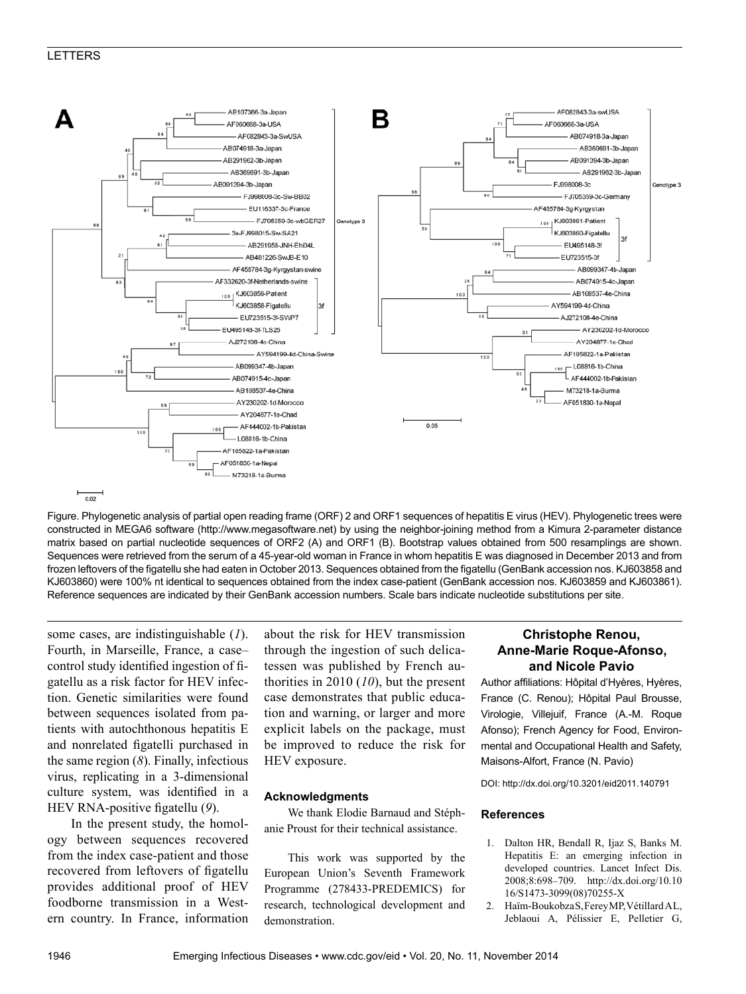### LETTERS



Figure. Phylogenetic analysis of partial open reading frame (ORF) 2 and ORF1 sequences of hepatitis E virus (HEV). Phylogenetic trees were constructed in MEGA6 software (http://www.megasoftware.net) by using the neighbor-joining method from a Kimura 2-parameter distance matrix based on partial nucleotide sequences of ORF2 (A) and ORF1 (B). Bootstrap values obtained from 500 resamplings are shown. Sequences were retrieved from the serum of a 45-year-old woman in France in whom hepatitis E was diagnosed in December 2013 and from frozen leftovers of the figatellu she had eaten in October 2013. Sequences obtained from the figatellu (GenBank accession nos. KJ603858 and KJ603860) were 100% nt identical to sequences obtained from the index case-patient (GenBank accession nos. KJ603859 and KJ603861). Reference sequences are indicated by their GenBank accession numbers. Scale bars indicate nucleotide substitutions per site.

some cases, are indistinguishable (*1*). Fourth, in Marseille, France, a case– control study identified ingestion of figatellu as a risk factor for HEV infection. Genetic similarities were found between sequences isolated from patients with autochthonous hepatitis E and nonrelated figatelli purchased in the same region (*8*). Finally, infectious virus, replicating in a 3-dimensional culture system, was identified in a HEV RNA-positive figatellu (*9*).

In the present study, the homology between sequences recovered from the index case-patient and those recovered from leftovers of figatellu provides additional proof of HEV foodborne transmission in a Western country. In France, information about the risk for HEV transmission through the ingestion of such delicatessen was published by French authorities in 2010 (*10*), but the present case demonstrates that public education and warning, or larger and more explicit labels on the package, must be improved to reduce the risk for HEV exposure.

#### **Acknowledgments**

We thank Elodie Barnaud and Stéphanie Proust for their technical assistance.

This work was supported by the European Union's Seventh Framework Programme (278433-PREDEMICS) for research, technological development and demonstration.

## **Christophe Renou, Anne-Marie Roque-Afonso, and Nicole Pavio**

Author affiliations: Hôpital d'Hyères, Hyères, France (C. Renou); Hôpital Paul Brousse, Virologie, Villejuif, France (A.-M. Roque Afonso); French Agency for Food, Environmental and Occupational Health and Safety, Maisons-Alfort, France (N. Pavio)

DOI: http://dx.doi.org/10.3201/eid2011.140791

#### **References**

- 1. Dalton HR, Bendall R, Ijaz S, Banks M. Hepatitis E: an emerging infection in developed countries. Lancet Infect Dis. 2008;8:698–709. http://dx.doi.org/10.10 16/S1473-3099(08)70255-X
- 2. Haïm-Boukobza S, Ferey MP, Vétillard AL, Jeblaoui A, Pélissier E, Pelletier G,